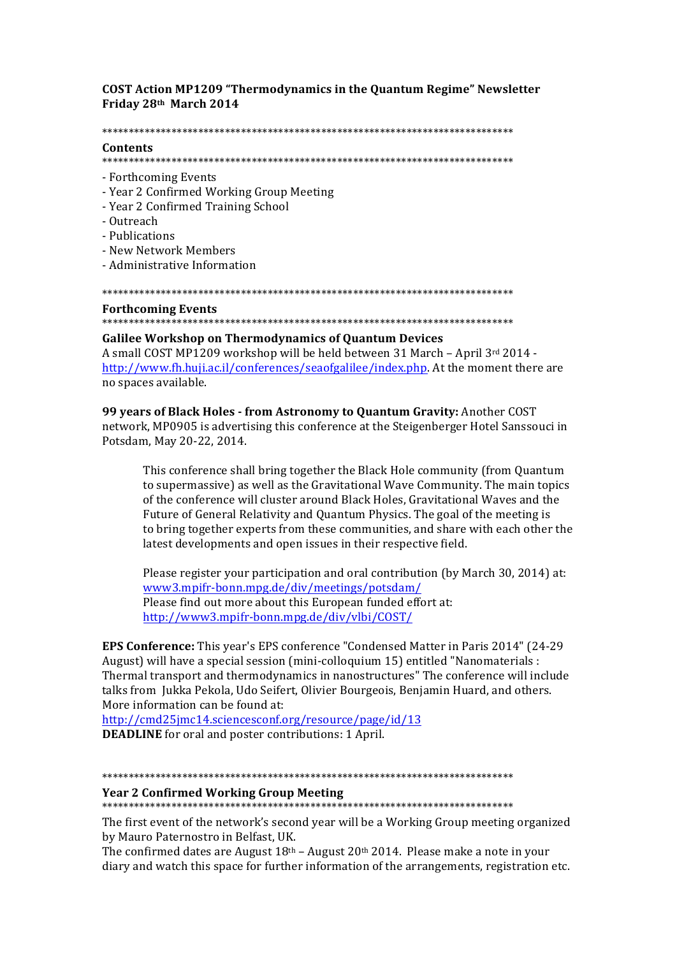**COST Action MP1209 "Thermodynamics in the Quantum Regime" Newsletter** Friday 28th March 2014

## 

## **Contents**

- Forthcoming Events
- Year 2 Confirmed Working Group Meeting
- Year 2 Confirmed Training School
- Outreach
- Publications
- New Network Members
- Administrative Information

## **Forthcoming Events**

# **Galilee Workshop on Thermodynamics of Quantum Devices**

A small COST MP1209 workshop will be held between 31 March - April 3rd 2014 http://www.fh.huji.ac.il/conferences/seaofgalilee/index.php. At the moment there are no spaces available.

99 years of Black Holes - from Astronomy to Quantum Gravity: Another COST network, MP0905 is advertising this conference at the Steigenberger Hotel Sanssouci in Potsdam, May 20-22, 2014.

This conference shall bring together the Black Hole community (from Quantum to supermassive) as well as the Gravitational Wave Community. The main topics of the conference will cluster around Black Holes. Gravitational Waves and the Future of General Relativity and Quantum Physics. The goal of the meeting is to bring together experts from these communities, and share with each other the latest developments and open issues in their respective field.

Please register your participation and oral contribution (by March 30, 2014) at: www3.mpifr-bonn.mpg.de/div/meetings/potsdam/ Please find out more about this European funded effort at: http://www3.mpifr-bonn.mpg.de/div/vlbi/COST/

**EPS Conference:** This year's EPS conference "Condensed Matter in Paris 2014" (24-29) August) will have a special session (mini-colloquium 15) entitled "Nanomaterials : Thermal transport and thermodynamics in nanostructures" The conference will include talks from Jukka Pekola, Udo Seifert, Olivier Bourgeois, Benjamin Huard, and others. More information can be found at:

http://cmd25jmc14.sciencesconf.org/resource/page/id/13 **DEADLINE** for oral and poster contributions: 1 April.

## 

## **Year 2 Confirmed Working Group Meeting**

The first event of the network's second year will be a Working Group meeting organized by Mauro Paternostro in Belfast, UK.

The confirmed dates are August  $18<sup>th</sup>$  – August  $20<sup>th</sup>$  2014. Please make a note in your diary and watch this space for further information of the arrangements, registration etc.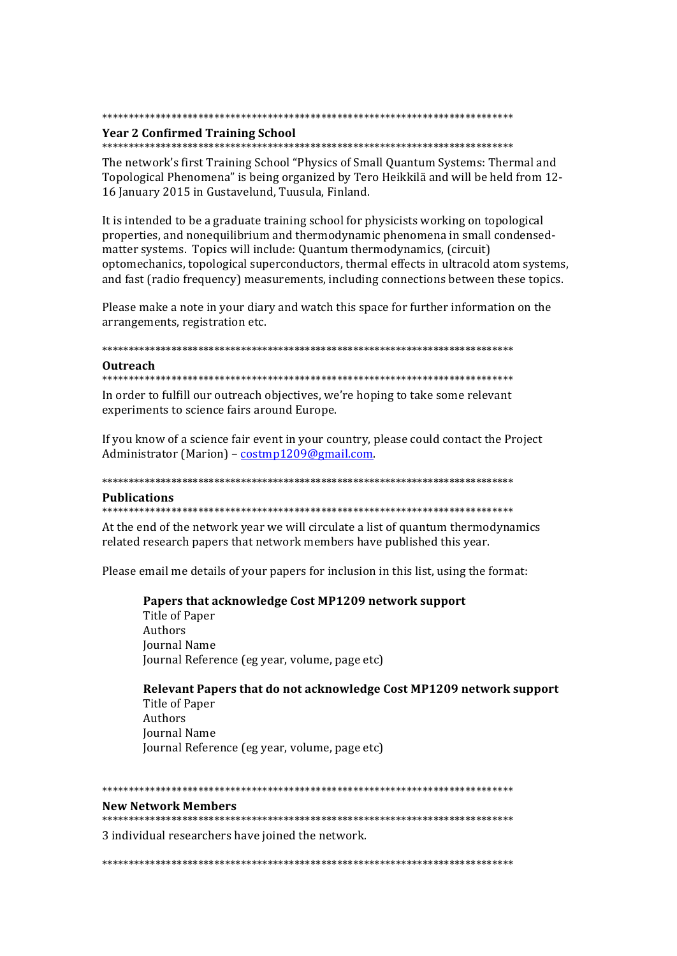#### 

## **Year 2 Confirmed Training School**

The network's first Training School "Physics of Small Quantum Systems: Thermal and Topological Phenomena" is being organized by Tero Heikkilä and will be held from 12-16 January 2015 in Gustavelund, Tuusula, Finland.

It is intended to be a graduate training school for physicists working on topological properties, and nonequilibrium and thermodynamic phenomena in small condensedmatter systems. Topics will include: Quantum thermodynamics, (circuit) optomechanics, topological superconductors, thermal effects in ultracold atom systems, and fast (radio frequency) measurements, including connections between these topics.

Please make a note in your diary and watch this space for further information on the arrangements, registration etc.

#### 

#### **Outreach**

In order to fulfill our outreach objectives, we're hoping to take some relevant experiments to science fairs around Europe.

If you know of a science fair event in your country, please could contact the Project Administrator (Marion) - costmp1209@gmail.com.

## **Publications**

At the end of the network year we will circulate a list of quantum thermodynamics related research papers that network members have published this year.

Please email me details of your papers for inclusion in this list, using the format:

Papers that acknowledge Cost MP1209 network support Title of Paper

Authors **Journal Name** Journal Reference (eg year, volume, page etc)

Relevant Papers that do not acknowledge Cost MP1209 network support Title of Paper Authors **Journal Name** Journal Reference (eg year, volume, page etc)

#### 

#### **New Network Members**

3 individual researchers have joined the network.